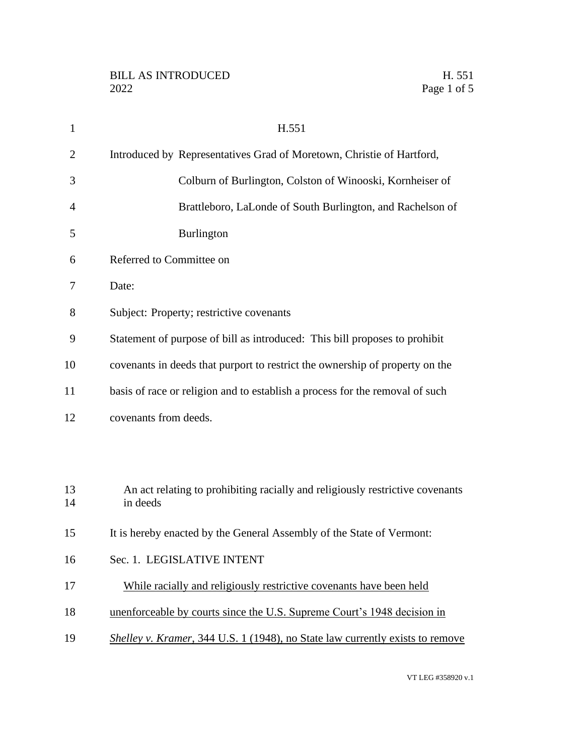| $\mathbf{1}$ | H.551                                                                                     |
|--------------|-------------------------------------------------------------------------------------------|
| 2            | Introduced by Representatives Grad of Moretown, Christie of Hartford,                     |
| 3            | Colburn of Burlington, Colston of Winooski, Kornheiser of                                 |
| 4            | Brattleboro, LaLonde of South Burlington, and Rachelson of                                |
| 5            | <b>Burlington</b>                                                                         |
| 6            | Referred to Committee on                                                                  |
| 7            | Date:                                                                                     |
| 8            | Subject: Property; restrictive covenants                                                  |
| 9            | Statement of purpose of bill as introduced: This bill proposes to prohibit                |
| 10           | covenants in deeds that purport to restrict the ownership of property on the              |
| 11           | basis of race or religion and to establish a process for the removal of such              |
| 12           | covenants from deeds.                                                                     |
|              |                                                                                           |
|              |                                                                                           |
| 13<br>14     | An act relating to prohibiting racially and religiously restrictive covenants<br>in deeds |
|              |                                                                                           |
| 15           | It is hereby enacted by the General Assembly of the State of Vermont:                     |
| 16           | Sec. 1. LEGISLATIVE INTENT                                                                |
| 17           | While racially and religiously restrictive covenants have been held                       |
| 18           | unenforceable by courts since the U.S. Supreme Court's 1948 decision in                   |
| 19           | Shelley v. Kramer, 344 U.S. 1 (1948), no State law currently exists to remove             |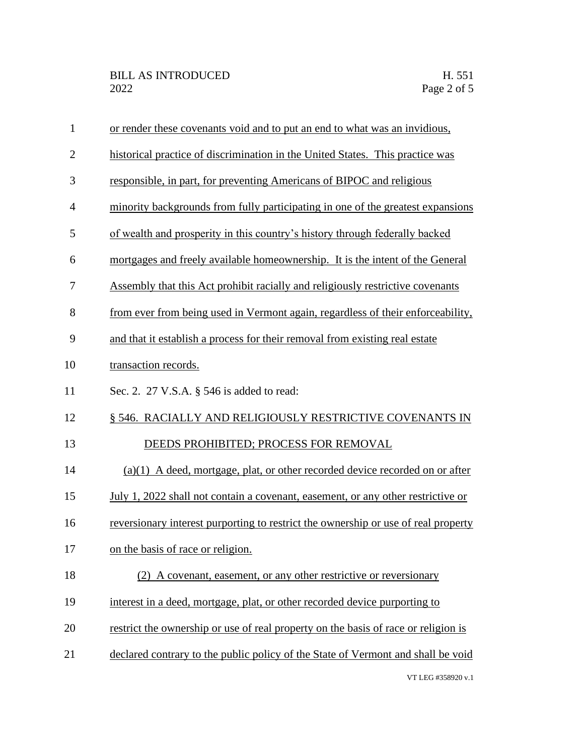| $\mathbf{1}$   | or render these covenants void and to put an end to what was an invidious,         |
|----------------|------------------------------------------------------------------------------------|
| $\overline{2}$ | historical practice of discrimination in the United States. This practice was      |
| 3              | responsible, in part, for preventing Americans of BIPOC and religious              |
| $\overline{4}$ | minority backgrounds from fully participating in one of the greatest expansions    |
| 5              | of wealth and prosperity in this country's history through federally backed        |
| 6              | mortgages and freely available homeownership. It is the intent of the General      |
| 7              | Assembly that this Act prohibit racially and religiously restrictive covenants     |
| 8              | from ever from being used in Vermont again, regardless of their enforceability,    |
| 9              | and that it establish a process for their removal from existing real estate        |
| 10             | transaction records.                                                               |
| 11             | Sec. 2. 27 V.S.A. § 546 is added to read:                                          |
| 12             | § 546. RACIALLY AND RELIGIOUSLY RESTRICTIVE COVENANTS IN                           |
| 13             | DEEDS PROHIBITED; PROCESS FOR REMOVAL                                              |
| 14             | (a)(1) A deed, mortgage, plat, or other recorded device recorded on or after       |
| 15             | July 1, 2022 shall not contain a covenant, easement, or any other restrictive or   |
| 16             | reversionary interest purporting to restrict the ownership or use of real property |
| 17             | on the basis of race or religion.                                                  |
| 18             | (2) A covenant, easement, or any other restrictive or reversionary                 |
| 19             | interest in a deed, mortgage, plat, or other recorded device purporting to         |
| 20             | restrict the ownership or use of real property on the basis of race or religion is |
| 21             | declared contrary to the public policy of the State of Vermont and shall be void   |
|                |                                                                                    |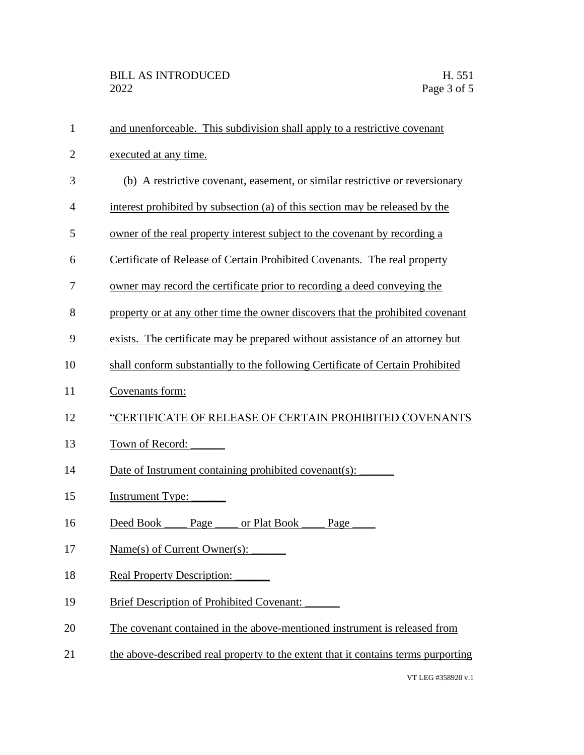| 1              | and unenforceable. This subdivision shall apply to a restrictive covenant         |
|----------------|-----------------------------------------------------------------------------------|
| $\overline{2}$ | executed at any time.                                                             |
| 3              | (b) A restrictive covenant, easement, or similar restrictive or reversionary      |
| $\overline{4}$ | interest prohibited by subsection (a) of this section may be released by the      |
| 5              | owner of the real property interest subject to the covenant by recording a        |
| 6              | Certificate of Release of Certain Prohibited Covenants. The real property         |
| 7              | owner may record the certificate prior to recording a deed conveying the          |
| 8              | property or at any other time the owner discovers that the prohibited covenant    |
| 9              | exists. The certificate may be prepared without assistance of an attorney but     |
| 10             | shall conform substantially to the following Certificate of Certain Prohibited    |
| 11             | Covenants form:                                                                   |
| 12             | "CERTIFICATE OF RELEASE OF CERTAIN PROHIBITED COVENANTS                           |
| 13             | Town of Record:                                                                   |
| 14             | Date of Instrument containing prohibited covenant(s):                             |
| 15             | <b>Instrument Type:</b>                                                           |
| 16             | Deed Book Page<br>or Plat Book ___<br>Page                                        |
| 17             | Name(s) of Current Owner(s):                                                      |
| 18             | <b>Real Property Description:</b>                                                 |
| 19             | <b>Brief Description of Prohibited Covenant:</b>                                  |
| 20             | The covenant contained in the above-mentioned instrument is released from         |
| 21             | the above-described real property to the extent that it contains terms purporting |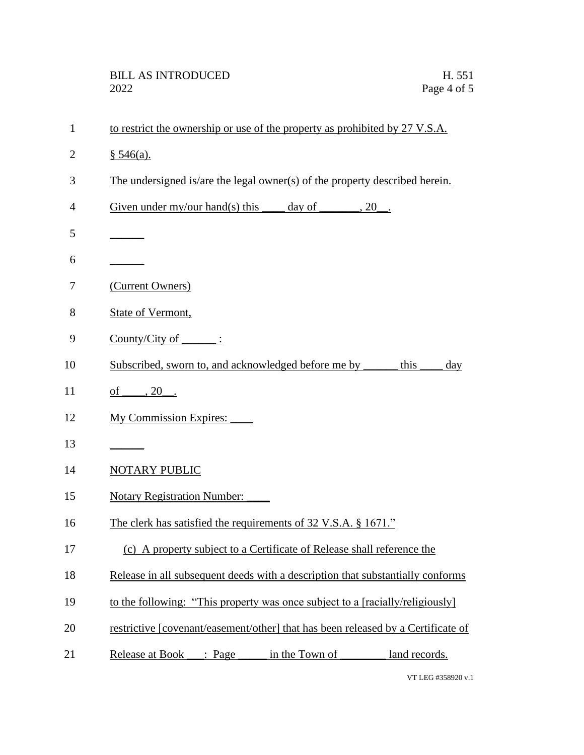| $\mathbf{1}$   | to restrict the ownership or use of the property as prohibited by 27 V.S.A.      |
|----------------|----------------------------------------------------------------------------------|
| $\overline{2}$ | § 546(a).                                                                        |
| 3              | The undersigned is/are the legal owner(s) of the property described herein.      |
| 4              | Given under my/our hand(s) this $\qquad \qquad$ day of $\qquad \qquad$ , 20.     |
| 5              |                                                                                  |
| 6              |                                                                                  |
| 7              | (Current Owners)                                                                 |
| 8              | State of Vermont,                                                                |
| 9              | $Country/City of$ :                                                              |
| 10             | Subscribed, sworn to, and acknowledged before me by _______<br>this<br>day       |
| 11             | of _____, 20 ___.                                                                |
| 12             | <b>My Commission Expires:</b>                                                    |
| 13             |                                                                                  |
| 14             | NOTARY PUBLIC                                                                    |
| 15             | <b>Notary Registration Number:</b>                                               |
| 16             | The clerk has satisfied the requirements of 32 V.S.A. § 1671."                   |
| 17             | (c) A property subject to a Certificate of Release shall reference the           |
| 18             | Release in all subsequent deeds with a description that substantially conforms   |
| 19             | to the following: "This property was once subject to a [racially/religiously]    |
| 20             | restrictive [covenant/easement/other] that has been released by a Certificate of |
| 21             | Release at Book ___: Page ______ in the Town of ________ land records.           |
|                |                                                                                  |